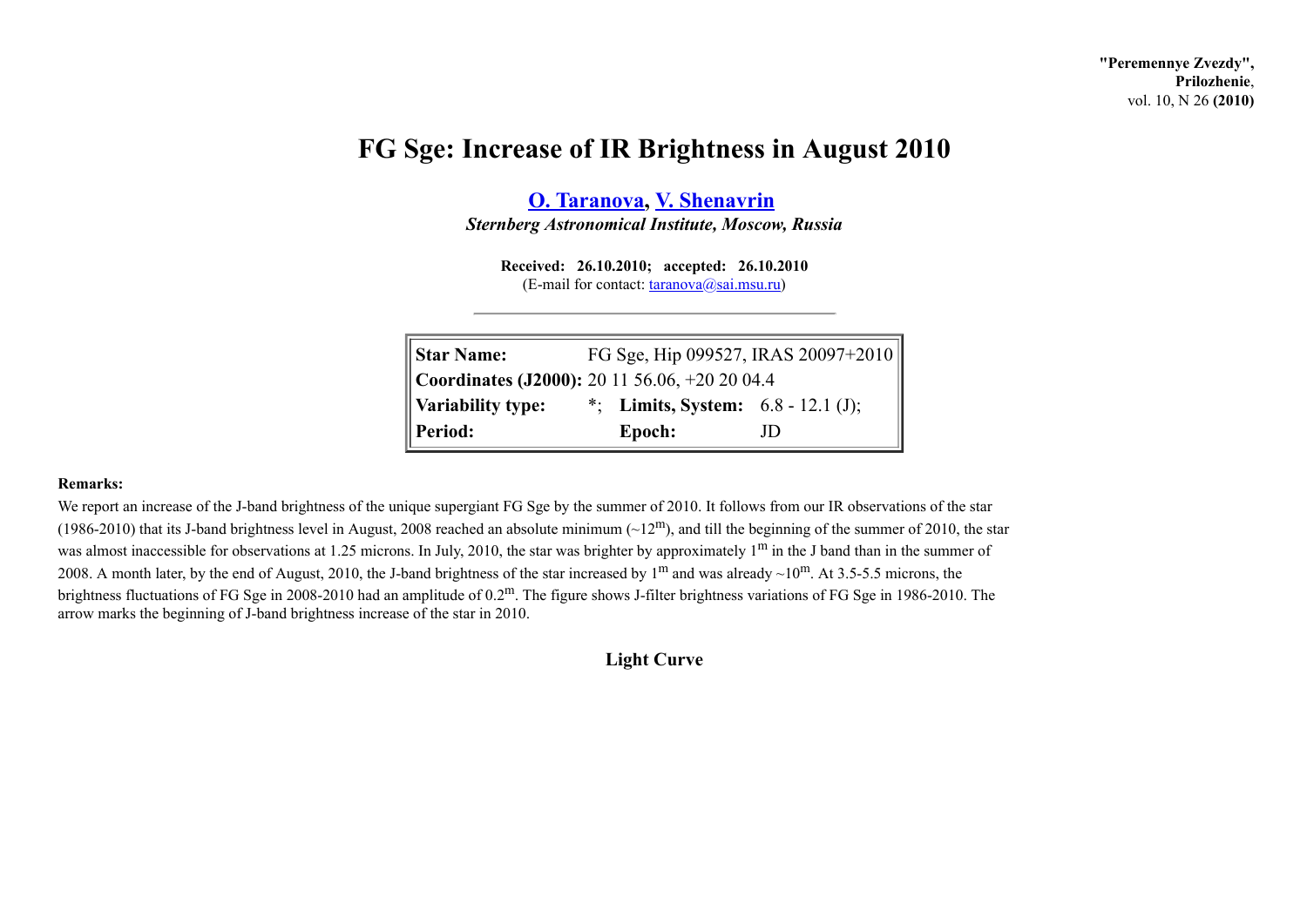**"Peremennye Zvezdy", Prilozhenie**, vol. 10, N 26 **(2010)**

## **FG Sge: Increase of IR Brightness in August 2010**

**O. [Taranova](http://www.astronet.ru/builder/preview/www.astronet.ru/db/varstars/author/12053), V. [Shenavrin](http://www.astronet.ru/builder/preview/www.astronet.ru/db/varstars/author/12052)**

*Sternberg Astronomical Institute, Moscow, Russia*

**Received: 26.10.2010; accepted: 26.10.2010**  $(E-mail for contact:  $\frac{t}{\text{aranova}}(a)$ sai.msu.ru)$ 

| <b>Star Name:</b>                             | FG Sge, Hip 099527, IRAS 20097+2010  |     |
|-----------------------------------------------|--------------------------------------|-----|
| Coordinates (J2000): 20 11 56.06, +20 20 04.4 |                                      |     |
| Variability type:                             | *; Limits, System: $6.8 - 12.1$ (J); |     |
| Period:                                       | Epoch:                               | JD) |

## **Remarks:**

We report an increase of the J-band brightness of the unique supergiant FG Sge by the summer of 2010. It follows from our IR observations of the star (1986-2010) that its J-band brightness level in August, 2008 reached an absolute minimum  $(\sim 12^{\text{m}})$ , and till the beginning of the summer of 2010, the star was almost inaccessible for observations at 1.25 microns. In July, 2010, the star was brighter by approximately  $1<sup>m</sup>$  in the J band than in the summer of 2008. A month later, by the end of August, 2010, the J-band brightness of the star increased by  $1^{\text{m}}$  and was already  $\sim 10^{\text{m}}$ . At 3.5-5.5 microns, the brightness fluctuations of FG Sge in 2008-2010 had an amplitude of 0.2m. The figure shows J-filter brightness variations of FG Sge in 1986-2010. The arrow marks the beginning of J-band brightness increase of the star in 2010.

**Light Curve**